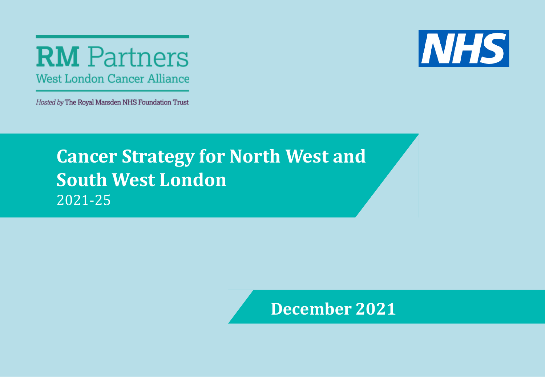# **RM** Partners **West London Cancer Alliance**

Hosted by The Royal Marsden NHS Foundation Trust



# **Click to edit Master title style** 2021-25**Cancer Strategy for North West and South West London**

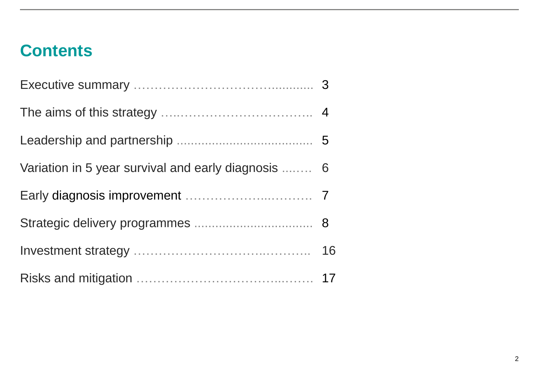# **Contents**

| Variation in 5 year survival and early diagnosis  6 |  |
|-----------------------------------------------------|--|
|                                                     |  |
|                                                     |  |
|                                                     |  |
|                                                     |  |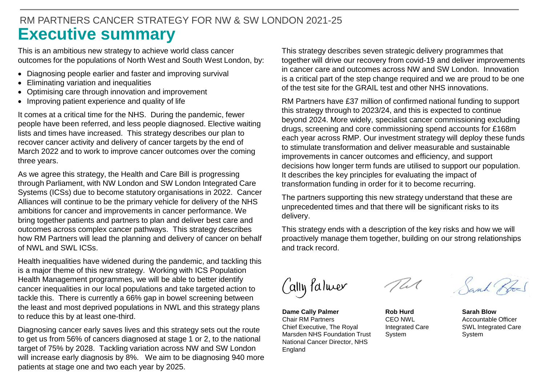# **Executive summary** RM PARTNERS CANCER STRATEGY FOR NW & SW LONDON 2021-25

This is an ambitious new strategy to achieve world class cancer outcomes for the populations of North West and South West London, by:

- Diagnosing people earlier and faster and improving survival
- Eliminating variation and inequalities
- Optimising care through innovation and improvement
- Improving patient experience and quality of life

It comes at a critical time for the NHS. During the pandemic, fewer people have been referred, and less people diagnosed. Elective waiting lists and times have increased. This strategy describes our plan to recover cancer activity and delivery of cancer targets by the end of March 2022 and to work to improve cancer outcomes over the coming three years.

Systems (ICSs) due to become statutory organisations in 2022. Cancer<br>Alliances will continue to be the primary vehicle for delivery of the NHS As we agree this strategy, the Health and Care Bill is progressing through Parliament, with NW London and SW London Integrated Care Alliances will continue to be the primary vehicle for delivery of the NHS ambitions for cancer and improvements in cancer performance. We bring together patients and partners to plan and deliver best care and outcomes across complex cancer pathways. This strategy describes how RM Partners will lead the planning and delivery of cancer on behalf of NWL and SWL ICSs.

Health inequalities have widened during the pandemic, and tackling this is a major theme of this new strategy. Working with ICS Population Health Management programmes, we will be able to better identify cancer inequalities in our local populations and take targeted action to tackle this. There is currently a 66% gap in bowel screening between the least and most deprived populations in NWL and this strategy plans to reduce this by at least one-third.

Diagnosing cancer early saves lives and this strategy sets out the route to get us from 56% of cancers diagnosed at stage 1 or 2, to the national target of 75% by 2028. Tackling variation across NW and SW London will increase early diagnosis by 8%. We aim to be diagnosing 940 more patients at stage one and two each year by 2025.

This strategy describes seven strategic delivery programmes that together will drive our recovery from covid-19 and deliver improvements in cancer care and outcomes across NW and SW London. Innovation is a critical part of the step change required and we are proud to be one of the test site for the GRAIL test and other NHS innovations.

RM Partners have £37 million of confirmed national funding to support this strategy through to 2023/24, and this is expected to continue beyond 2024. More widely, specialist cancer commissioning excluding drugs, screening and core commissioning spend accounts for £168m each year across RMP. Our investment strategy will deploy these funds to stimulate transformation and deliver measurable and sustainable improvements in cancer outcomes and efficiency, and support decisions how longer term funds are utilised to support our population. It describes the key principles for evaluating the impact of transformation funding in order for it to become recurring.

The partners supporting this new strategy understand that these are unprecedented times and that there will be significant risks to its delivery.

This strategy ends with a description of the key risks and how we will proactively manage them together, building on our strong relationships and track record.

Cally Palmer

**Dame Cally Palmer** Chair RM Partners Chief Executive, The Royal Marsden NHS Foundation Trust National Cancer Director, NHS England

**Rob Hurd** CEO NWL Integrated Care System

Sarah Por

**Sarah Blow** Accountable Officer SWL Integrated Care System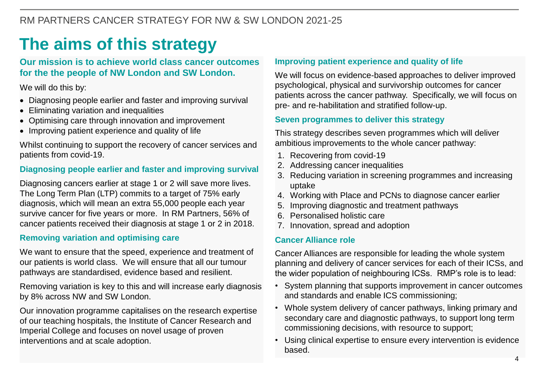# **The aims of this strategy**

### **Our mission is to achieve world class cancer outcomes for the the people of NW London and SW London.**

We will do this by:

- Diagnosing people earlier and faster and improving survival
- Eliminating variation and inequalities
- Optimising care through innovation and improvement
- Improving patient experience and quality of life

Whilst continuing to support the recovery of cancer services and patients from covid-19.

## **Diagnosing people earlier and faster and improving survival**

**Chick to edit Massers to edit Marshest Chick to a target of 75% early and Term Plan (LTP) commits to a target of 75% early and 1. Worki<br>diagnosis, which will mean an extra 55,000 people each year and the stronger of the t** Diagnosing cancers earlier at stage 1 or 2 will save more lives. diagnosis, which will mean an extra 55,000 people each year survive cancer for five years or more. In RM Partners, 56% of cancer patients received their diagnosis at stage 1 or 2 in 2018.

#### **Removing variation and optimising care**

We want to ensure that the speed, experience and treatment of our patients is world class. We will ensure that all our tumour pathways are standardised, evidence based and resilient.

Removing variation is key to this and will increase early diagnosis by 8% across NW and SW London.

Our innovation programme capitalises on the research expertise of our teaching hospitals, the Institute of Cancer Research and Imperial College and focuses on novel usage of proven interventions and at scale adoption.

#### **Improving patient experience and quality of life**

We will focus on evidence-based approaches to deliver improved psychological, physical and survivorship outcomes for cancer patients across the cancer pathway. Specifically, we will focus on pre- and re-habilitation and stratified follow-up.

#### **Seven programmes to deliver this strategy**

This strategy describes seven programmes which will deliver ambitious improvements to the whole cancer pathway:

- 1. Recovering from covid-19
- 2. Addressing cancer inequalities
- 3. Reducing variation in screening programmes and increasing uptake
- 4. Working with Place and PCNs to diagnose cancer earlier
- 5. Improving diagnostic and treatment pathways
- 6. Personalised holistic care
- 7. Innovation, spread and adoption

#### **Cancer Alliance role**

Cancer Alliances are responsible for leading the whole system planning and delivery of cancer services for each of their ICSs, and the wider population of neighbouring ICSs. RMP's role is to lead:

- System planning that supports improvement in cancer outcomes and standards and enable ICS commissioning;
- Whole system delivery of cancer pathways, linking primary and secondary care and diagnostic pathways, to support long term commissioning decisions, with resource to support;
- Using clinical expertise to ensure every intervention is evidence based.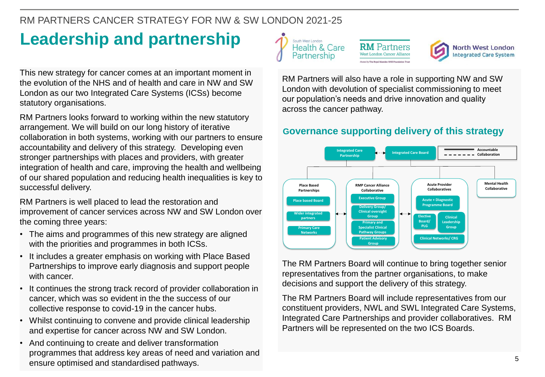# RM PARTNERS CANCER STRATEGY FOR NW & SW LONDON 2021-25

# **Leadership and partnership**

This new strategy for cancer comes at an important moment in the evolution of the NHS and of health and care in NW and SW London as our two Integrated Care Systems (ICSs) become statutory organisations.

RM Partners looks forward to working within the new statutory arrangement. We will build on our long history of iterative collaboration in both systems, working with our partners to ensure accountability and delivery of this strategy. Developing even stronger partnerships with places and providers, with greater integration of health and care, improving the health and wellbeing of our shared population and reducing health inequalities is key to successful delivery.

**COLICCESSITUI GEILVERY.**<br>RM Partners is well placed to lead the restoration and improvement of cancer services across NW and SW London over the coming three years:

- The aims and programmes of this new strategy are aligned with the priorities and programmes in both ICSs.
- It includes a greater emphasis on working with Place Based Partnerships to improve early diagnosis and support people with cancer.
- It continues the strong track record of provider collaboration in cancer, which was so evident in the the success of our collective response to covid-19 in the cancer hubs.
- Whilst continuing to convene and provide clinical leadership and expertise for cancer across NW and SW London.
- And continuing to create and deliver transformation programmes that address key areas of need and variation and ensure optimised and standardised pathways.



**RM** Partners



RM Partners will also have a role in supporting NW and SW London with devolution of specialist commissioning to meet our population's needs and drive innovation and quality across the cancer pathway.

# **Governance supporting delivery of this strategy**



The RM Partners Board will continue to bring together senior representatives from the partner organisations, to make decisions and support the delivery of this strategy.

The RM Partners Board will include representatives from our constituent providers, NWL and SWL Integrated Care Systems, Integrated Care Partnerships and provider collaboratives. RM Partners will be represented on the two ICS Boards.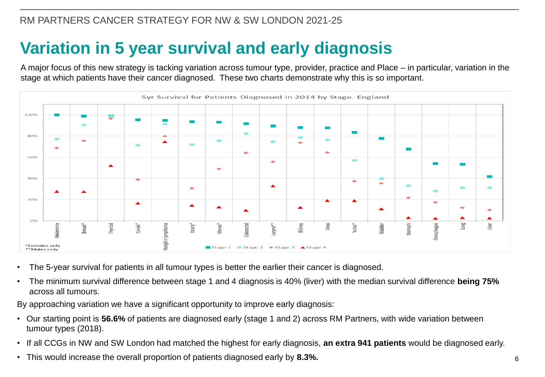# **Variation in 5 year survival and early diagnosis**

A major focus of this new strategy is tacking variation across tumour type, provider, practice and Place – in particular, variation in the stage at which patients have their cancer diagnosed. These two charts demonstrate why this is so important.



- The 5-year survival for patients in all tumour types is better the earlier their cancer is diagnosed.
- The minimum survival difference between stage 1 and 4 diagnosis is 40% (liver) with the median survival difference **being 75%**  across all tumours.

By approaching variation we have a significant opportunity to improve early diagnosis:

- Our starting point is **56.6%** of patients are diagnosed early (stage 1 and 2) across RM Partners, with wide variation between tumour types (2018).
- If all CCGs in NW and SW London had matched the highest for early diagnosis, **an extra 941 patients** would be diagnosed early.
- This would increase the overall proportion of patients diagnosed early by **8.3%.**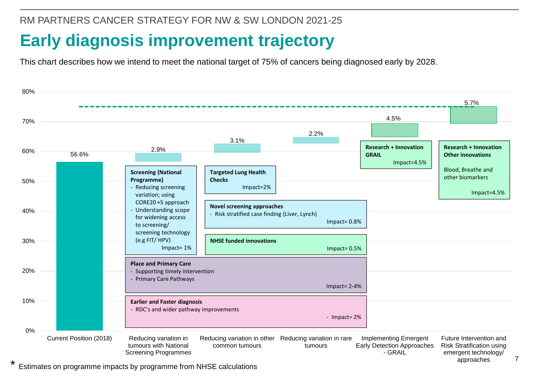RM PARTNERS CANCER STRATEGY FOR NW & SW LONDON 2021-25

# **Early diagnosis improvement trajectory**

This chart describes how we intend to meet the national target of 75% of cancers being diagnosed early by 2028.



\* Estimates on programme impacts by programme from NHSE calculations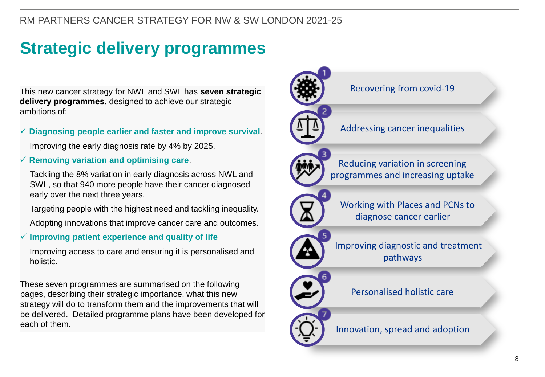# RM PARTNERS CANCER STRATEGY FOR NW & SW LONDON 2021-25

# **Strategic delivery programmes**

This new cancer strategy for NWL and SWL has **seven strategic delivery programmes**, designed to achieve our strategic ambitions of:

#### ✓ **Diagnosing people earlier and faster and improve survival**.

Improving the early diagnosis rate by 4% by 2025.

#### ✓ **Removing variation and optimising care**.

**COLE**, so that C To more people have then cancel diagnosed Tackling the 8% variation in early diagnosis across NWL and SWL, so that 940 more people have their cancer diagnosed

Targeting people with the highest need and tackling inequality.

Adopting innovations that improve cancer care and outcomes.

#### ✓ **Improving patient experience and quality of life**

Improving access to care and ensuring it is personalised and holistic.

These seven programmes are summarised on the following pages, describing their strategic importance, what this new strategy will do to transform them and the improvements that will be delivered. Detailed programme plans have been developed for each of them.

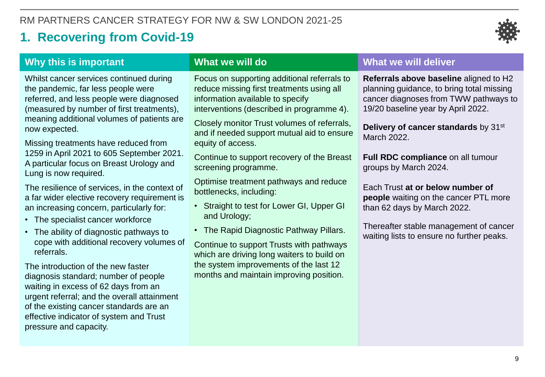# **1. Recovering from Covid-19**



# **Why this is important**

Whilst cancer services continued during the pandemic, far less people were referred, and less people were diagnosed (measured by number of first treatments), meaning additional volumes of patients are now expected.

Missing treatments have reduced from 1259 in April 2021 to 605 September 2021. A particular focus on Breast Urology and Lung is now required.

The resilience of services, in the context of **bottlenecks**, including:<br>a far wider elective recovery requirement is **bottlenecks**, including: The resilience of services, in the context of an increasing concern, particularly for:

- The specialist cancer workforce
- The ability of diagnostic pathways to cope with additional recovery volumes of referrals.

The introduction of the new faster diagnosis standard; number of people waiting in excess of 62 days from an urgent referral; and the overall attainment of the existing cancer standards are an effective indicator of system and Trust pressure and capacity.

## **What we will do**

Focus on supporting additional referrals to reduce missing first treatments using all information available to specify interventions (described in programme 4).

Closely monitor Trust volumes of referrals, and if needed support mutual aid to ensure equity of access.

Continue to support recovery of the Breast screening programme.

Optimise treatment pathways and reduce bottlenecks, including:

- Straight to test for Lower GI, Upper GI and Urology;
- The Rapid Diagnostic Pathway Pillars.

Continue to support Trusts with pathways which are driving long waiters to build on the system improvements of the last 12 months and maintain improving position.

#### **What we will deliver**

**Referrals above baseline** aligned to H2 planning guidance, to bring total missing cancer diagnoses from TWW pathways to 19/20 baseline year by April 2022.

**Delivery of cancer standards** by 31st March 2022.

**Full RDC compliance** on all tumour groups by March 2024.

Each Trust **at or below number of people** waiting on the cancer PTL more than 62 days by March 2022.

Thereafter stable management of cancer waiting lists to ensure no further peaks.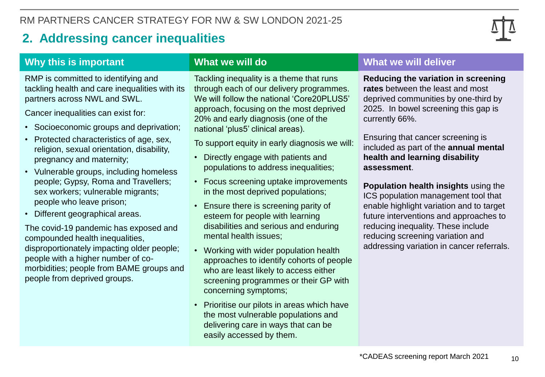# **2. Addressing cancer inequalities**



## **Why this is important**

RMP is committed to identifying and tackling health and care inequalities with its partners across NWL and SWL.

Cancer inequalities can exist for:

- Socioeconomic groups and deprivation;
- Protected characteristics of age, sex, religion, sexual orientation, disability, pregnancy and maternity;
- **COLICE TO EXA WORKERS; Vulnerable migrants; and the most deprived populational style style is experienced.<br>
Repeute who leave prison; and the Engura there is experienced.** • Vulnerable groups, including homeless people; Gypsy, Roma and Travellers; people who leave prison;
- Different geographical areas.

The covid-19 pandemic has exposed and compounded health inequalities, disproportionately impacting older people; people with a higher number of comorbidities; people from BAME groups and people from deprived groups.

### **What we will do**

Tackling inequality is a theme that runs through each of our delivery programmes. We will follow the national 'Core20PLUS5' approach, focusing on the most deprived 20% and early diagnosis (one of the national 'plus5' clinical areas).

To support equity in early diagnosis we will:

- Directly engage with patients and populations to address inequalities;
- Focus screening uptake improvements in the most deprived populations;
- Ensure there is screening parity of esteem for people with learning disabilities and serious and enduring mental health issues;
- Working with wider population health approaches to identify cohorts of people who are least likely to access either screening programmes or their GP with concerning symptoms;
- Prioritise our pilots in areas which have the most vulnerable populations and delivering care in ways that can be easily accessed by them.

### **What we will deliver**

**Reducing the variation in screening rates** between the least and most deprived communities by one-third by 2025. In bowel screening this gap is currently 66%.

Ensuring that cancer screening is included as part of the **annual mental health and learning disability assessment**.

**Population health insights** using the ICS population management tool that enable highlight variation and to target future interventions and approaches to reducing inequality. These include reducing screening variation and addressing variation in cancer referrals.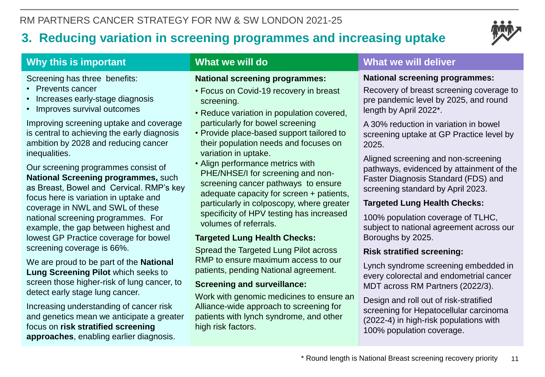# **3. Reducing variation in screening programmes and increasing uptake**



# **Why this is important**

Screening has three benefits:

- Prevents cancer
- Increases early-stage diagnosis
- Improves survival outcomes

Improving screening uptake and coverage is central to achieving the early diagnosis ambition by 2028 and reducing cancer inequalities.

as Breast, Bowel and Cervical. RMP's key<br>focus here is variation in uptake and<br>particularly in colooscopy, where Our screening programmes consist of **National Screening programmes,** such as Breast, Bowel and Cervical. RMP's key coverage in NWL and SWL of these national screening programmes. For example, the gap between highest and lowest GP Practice coverage for bowel screening coverage is 66%.

We are proud to be part of the **National Lung Screening Pilot** which seeks to screen those higher-risk of lung cancer, to detect early stage lung cancer.

Increasing understanding of cancer risk and genetics mean we anticipate a greater focus on **risk stratified screening approaches**, enabling earlier diagnosis.

# **What we will do**

#### **National screening programmes:**

- Focus on Covid-19 recovery in breast screening.
- Reduce variation in population covered, particularly for bowel screening
- Provide place-based support tailored to their population needs and focuses on variation in uptake.
- Align performance metrics with PHE/NHSE/I for screening and nonscreening cancer pathways to ensure adequate capacity for screen + patients, particularly in colposcopy, where greater specificity of HPV testing has increased volumes of referrals.

# **Targeted Lung Health Checks:**

Spread the Targeted Lung Pilot across RMP to ensure maximum access to our patients, pending National agreement.

### **Screening and surveillance:**

Work with genomic medicines to ensure an Alliance-wide approach to screening for patients with lynch syndrome, and other high risk factors.

## **What we will deliver**

#### **National screening programmes:**

Recovery of breast screening coverage to pre pandemic level by 2025, and round length by April 2022\*.

A 30% reduction in variation in bowel screening uptake at GP Practice level by 2025.

Aligned screening and non-screening pathways, evidenced by attainment of the Faster Diagnosis Standard (FDS) and screening standard by April 2023.

## **Targeted Lung Health Checks:**

100% population coverage of TLHC, subject to national agreement across our Boroughs by 2025.

### **Risk stratified screening:**

Lynch syndrome screening embedded in every colorectal and endometrial cancer MDT across RM Partners (2022/3).

Design and roll out of risk-stratified screening for Hepatocellular carcinoma (2022-4) in high-risk populations with 100% population coverage.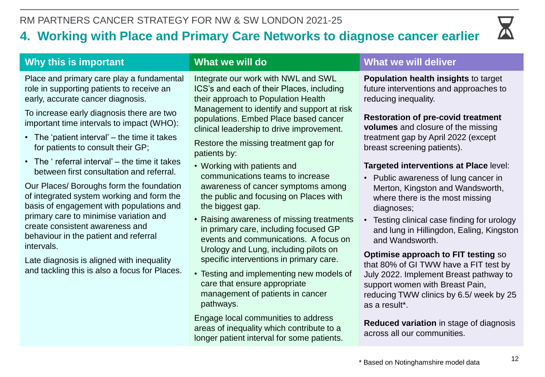# **4. Working with Place and Primary Care Networks to diagnose cancer earlier**



# **Why this is important**

Place and primary care play a fundamental role in supporting patients to receive an early, accurate cancer diagnosis.

To increase early diagnosis there are two important time intervals to impact (WHO):

- The 'patient interval' the time it takes for patients to consult their GP;
- The ' referral interval' the time it takes between first consultation and referral.

Our Places/ Boloughs form the foundation<br>of integrated system working and form the the public and focusing on Pla<br>has biggest gen Our Places/ Boroughs form the foundation basis of engagement with populations and primary care to minimise variation and create consistent awareness and behaviour in the patient and referral intervals.

Late diagnosis is aligned with inequality and tackling this is also a focus for Places.

## **What we will do**

Integrate our work with NWL and SWL ICS's and each of their Places, including their approach to Population Health Management to identify and support at risk populations. Embed Place based cancer clinical leadership to drive improvement.

Restore the missing treatment gap for patients by:

- Working with patients and communications teams to increase awareness of cancer symptoms among the public and focusing on Places with the biggest gap.
- Raising awareness of missing treatments in primary care, including focused GP events and communications. A focus on Urology and Lung, including pilots on specific interventions in primary care.
- Testing and implementing new models of care that ensure appropriate management of patients in cancer pathways.

Engage local communities to address areas of inequality which contribute to a longer patient interval for some patients.

## **What we will deliver**

**Population health insights** to target future interventions and approaches to reducing inequality.

**Restoration of pre-covid treatment volumes** and closure of the missing treatment gap by April 2022 (except breast screening patients).

### **Targeted interventions at Place** level:

- Public awareness of lung cancer in Merton, Kingston and Wandsworth, where there is the most missing diagnoses;
- Testing clinical case finding for urology and lung in Hillingdon, Ealing, Kingston and Wandsworth.

**Optimise approach to FIT testing** so that 80% of GI TWW have a FIT test by July 2022. Implement Breast pathway to support women with Breast Pain, reducing TWW clinics by 6.5/ week by 25 as a result\*.

**Reduced variation** in stage of diagnosis across all our communities.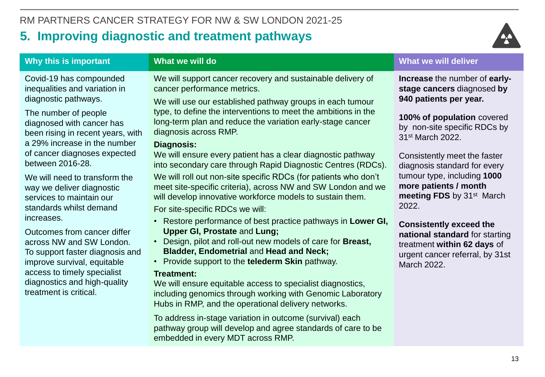

| Why this is important                                                                                                                                                                                                                                                                                                                                                                                                                                                                                                                                                                                                   | What we will do                                                                                                                                                                                                                                                                                                                                                                                                                                                                                                                                                                                                                                                                                                                                                                                                                                                                                                                                                                                                                                                                                                                                                                                                                                                                                                                                    | <b>What we will deliver</b>                                                                                                                                                                                                                                                                                                                                                                                                                                                                                        |
|-------------------------------------------------------------------------------------------------------------------------------------------------------------------------------------------------------------------------------------------------------------------------------------------------------------------------------------------------------------------------------------------------------------------------------------------------------------------------------------------------------------------------------------------------------------------------------------------------------------------------|----------------------------------------------------------------------------------------------------------------------------------------------------------------------------------------------------------------------------------------------------------------------------------------------------------------------------------------------------------------------------------------------------------------------------------------------------------------------------------------------------------------------------------------------------------------------------------------------------------------------------------------------------------------------------------------------------------------------------------------------------------------------------------------------------------------------------------------------------------------------------------------------------------------------------------------------------------------------------------------------------------------------------------------------------------------------------------------------------------------------------------------------------------------------------------------------------------------------------------------------------------------------------------------------------------------------------------------------------|--------------------------------------------------------------------------------------------------------------------------------------------------------------------------------------------------------------------------------------------------------------------------------------------------------------------------------------------------------------------------------------------------------------------------------------------------------------------------------------------------------------------|
| Covid-19 has compounded<br>inequalities and variation in<br>diagnostic pathways.<br>The number of people<br>diagnosed with cancer has<br>been rising in recent years, with<br>a 29% increase in the number<br>of cancer diagnoses expected<br>between 2016-28.<br>We will need to transform the<br>way we deliver diagnostic<br>services to maintain our<br>standards whilst demand<br>increases.<br>Outcomes from cancer differ<br>across NW and SW London.<br>To support faster diagnosis and<br>improve survival, equitable<br>access to timely specialist<br>diagnostics and high-quality<br>treatment is critical. | We will support cancer recovery and sustainable delivery of<br>cancer performance metrics.<br>We will use our established pathway groups in each tumour<br>type, to define the interventions to meet the ambitions in the<br>long-term plan and reduce the variation early-stage cancer<br>diagnosis across RMP.<br><b>Diagnosis:</b><br>We will ensure every patient has a clear diagnostic pathway<br>into secondary care through Rapid Diagnostic Centres (RDCs).<br>We will roll out non-site specific RDCs (for patients who don't<br>meet site-specific criteria), across NW and SW London and we<br>will develop innovative workforce models to sustain them.<br>For site-specific RDCs we will:<br>• Restore performance of best practice pathways in Lower GI,<br><b>Upper GI, Prostate and Lung;</b><br>Design, pilot and roll-out new models of care for Breast,<br>Bladder, Endometrial and Head and Neck;<br>• Provide support to the telederm Skin pathway.<br><b>Treatment:</b><br>We will ensure equitable access to specialist diagnostics,<br>including genomics through working with Genomic Laboratory<br>Hubs in RMP, and the operational delivery networks.<br>To address in-stage variation in outcome (survival) each<br>pathway group will develop and agree standards of care to be<br>embedded in every MDT across RMP. | Increase the number of early-<br>stage cancers diagnosed by<br>940 patients per year.<br>100% of population covered<br>by non-site specific RDCs by<br>31 <sup>st</sup> March 2022.<br>Consistently meet the faster<br>diagnosis standard for every<br>tumour type, including 1000<br>more patients / month<br>meeting FDS by 31 <sup>st</sup> March<br>2022.<br><b>Consistently exceed the</b><br>national standard for starting<br>treatment within 62 days of<br>urgent cancer referral, by 31st<br>March 2022. |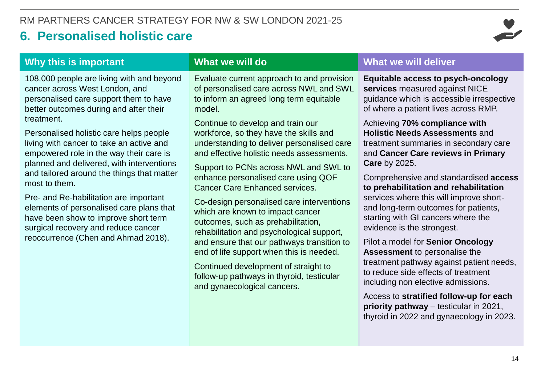# **6. Personalised holistic care**



## **Why this is important**

108,000 people are living with and beyond cancer across West London, and personalised care support them to have better outcomes during and after their treatment.

Personalised holistic care helps people living with cancer to take an active and empowered role in the way their care is planned and delivered, with interventions and tailored around the things that matter most to them.

**Cancer Care Ennanced services**<br>Pre- and Re-habilitation are important<br>Co-design personalised care int elements of personalised care plans that have been show to improve short term surgical recovery and reduce cancer reoccurrence (Chen and Ahmad 2018).

### **What we will do**

Evaluate current approach to and provision of personalised care across NWL and SWL to inform an agreed long term equitable model.

Continue to develop and train our workforce, so they have the skills and understanding to deliver personalised care and effective holistic needs assessments.

Support to PCNs across NWL and SWL to enhance personalised care using QOF Cancer Care Enhanced services.

Co-design personalised care interventions which are known to impact cancer outcomes, such as prehabilitation, rehabilitation and psychological support, and ensure that our pathways transition to end of life support when this is needed.

Continued development of straight to follow-up pathways in thyroid, testicular and gynaecological cancers.

#### **What we will deliver**

**Equitable access to psych-oncology services** measured against NICE guidance which is accessible irrespective of where a patient lives across RMP.

Achieving **70% compliance with Holistic Needs Assessments** and treatment summaries in secondary care and **Cancer Care reviews in Primary Care** by 2025.

Comprehensive and standardised **access to prehabilitation and rehabilitation**  services where this will improve shortand long-term outcomes for patients, starting with GI cancers where the evidence is the strongest.

Pilot a model for **Senior Oncology Assessment** to personalise the treatment pathway against patient needs, to reduce side effects of treatment including non elective admissions.

Access to **stratified follow-up for each priority pathway** – testicular in 2021, thyroid in 2022 and gynaecology in 2023.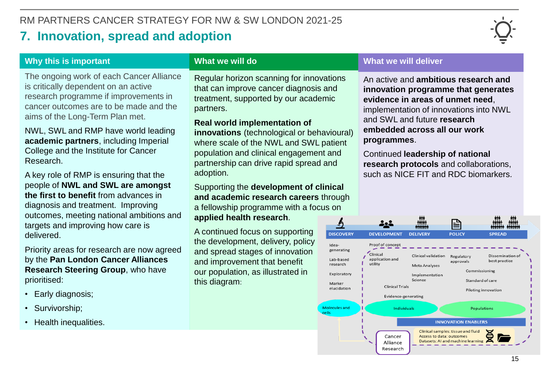# **7. Innovation, spread and adoption**



#### **Why this is important**

The ongoing work of each Cancer Alliance is critically dependent on an active research programme if improvements in cancer outcomes are to be made and the aims of the Long-Term Plan met.

NWL, SWL and RMP have world leading **academic partners**, including Imperial College and the Institute for Cancer Research.

A key role of RMP is ensuring that the people of **NWL and SWL are amongst the first to benefit** from advances in diagnosis and treatment. Improving outcomes, meeting national ambitions and targets and improving how care is delivered.

Priority areas for research are now agreed by the **Pan London Cancer Alliances Research Steering Group**, who have prioritised:

- Early diagnosis;
- Survivorship;
- Health inequalities.

#### **What we will do**

Regular horizon scanning for innovations that can improve cancer diagnosis and treatment, supported by our academic partners.

#### **Real world implementation of**

**innovations** (technological or behavioural) where scale of the NWL and SWL patient population and clinical engagement and partnership can drive rapid spread and adoption.

First to benefit from advances in<br> **Composition**<br> **Composition**<br> **Composition**<br> **Composition**<br> **Composition**<br> **Composition**<br> **Composition**<br> **Composition**<br> **Composition**<br> **Composition**<br> **Composition**<br> **Composition**<br> **Compos** Supporting the **development of clinical**  a fellowship programme with a focus on **applied health research**.

> A continued focus on supporting the development, delivery, policy and spread stages of innovation and improvement that benefit our population, as illustrated in this diagram:

#### **What we will deliver**

An active and **ambitious research and innovation programme that generates evidence in areas of unmet need**, implementation of innovations into NWL and SWL and future **research embedded across all our work programmes**.

Continued **leadership of national research protocols** and collaborations, such as NICE FIT and RDC biomarkers.

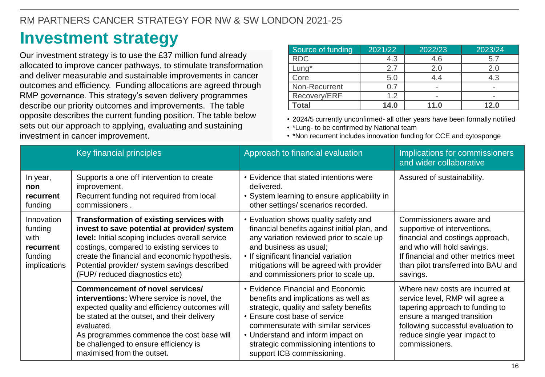# **Investment strategy**

Our investment strategy is to use the £37 million fund already allocated to improve cancer pathways, to stimulate transformation and deliver measurable and sustainable improvements in cancer outcomes and efficiency. Funding allocations are agreed through RMP governance. This strategy's seven delivery programmes describe our priority outcomes and improvements. The table opposite describes the current funding position. The table below sets out our approach to applying, evaluating and sustaining investment in cancer improvement.

| Source of funding | 2021/22 | 2022/23 | 2023/24                  |
|-------------------|---------|---------|--------------------------|
| <b>RDC</b>        | 4.3     | 4.6     | 5.7                      |
| Lung*             | 2.7     | 2.0     | 2.0                      |
| Core              | 5.0     | 44      | 4.3                      |
| Non-Recurrent     |         |         | $\overline{\phantom{a}}$ |
| Recovery/ERF      | 1.2     |         | -                        |
| <b>Total</b>      | 14.0    | 11.0    | 12.0                     |

• 2024/5 currently unconfirmed- all other years have been formally notified

• \*Lung- to be confirmed by National team

• \*Non recurrent includes innovation funding for CCE and cytosponge

|                                                                       | Key financial principles                                                                                                                                                                                                                                                                                                            | Approach to financial evaluation                                                                                                                                                                                                                                                                       | Implications for commissioners<br>and wider collaborative                                                                                                                                                                   |
|-----------------------------------------------------------------------|-------------------------------------------------------------------------------------------------------------------------------------------------------------------------------------------------------------------------------------------------------------------------------------------------------------------------------------|--------------------------------------------------------------------------------------------------------------------------------------------------------------------------------------------------------------------------------------------------------------------------------------------------------|-----------------------------------------------------------------------------------------------------------------------------------------------------------------------------------------------------------------------------|
| In year,<br>non<br>recurrent<br>funding                               | Supports a one off intervention to create<br>improvement.<br>Recurrent funding not required from local<br>commissioners.                                                                                                                                                                                                            | • Evidence that stated intentions were<br>delivered.<br>• System learning to ensure applicability in<br>other settings/ scenarios recorded.                                                                                                                                                            | Assured of sustainability.                                                                                                                                                                                                  |
| Innovation<br>funding<br>with<br>recurrent<br>funding<br>implications | <b>Transformation of existing services with</b><br>invest to save potential at provider/ system<br>level: Initial scoping includes overall service<br>costings, compared to existing services to<br>create the financial and economic hypothesis.<br>Potential provider/ system savings described<br>(FUP/ reduced diagnostics etc) | • Evaluation shows quality safety and<br>financial benefits against initial plan, and<br>any variation reviewed prior to scale up<br>and business as usual;<br>• If significant financial variation<br>mitigations will be agreed with provider<br>and commissioners prior to scale up.                | Commissioners aware and<br>supportive of interventions,<br>financial and costings approach,<br>and who will hold savings.<br>If financial and other metrics meet<br>than pilot transferred into BAU and<br>savings.         |
|                                                                       | <b>Commencement of novel services/</b><br>interventions: Where service is novel, the<br>expected quality and efficiency outcomes will<br>be stated at the outset, and their delivery<br>evaluated.<br>As programmes commence the cost base will<br>be challenged to ensure efficiency is<br>maximised from the outset.              | • Evidence Financial and Economic<br>benefits and implications as well as<br>strategic, quality and safety benefits<br>• Ensure cost base of service<br>commensurate with similar services<br>• Understand and inform impact on<br>strategic commissioning intentions to<br>support ICB commissioning. | Where new costs are incurred at<br>service level, RMP will agree a<br>tapering approach to funding to<br>ensure a manged transition<br>following successful evaluation to<br>reduce single year impact to<br>commissioners. |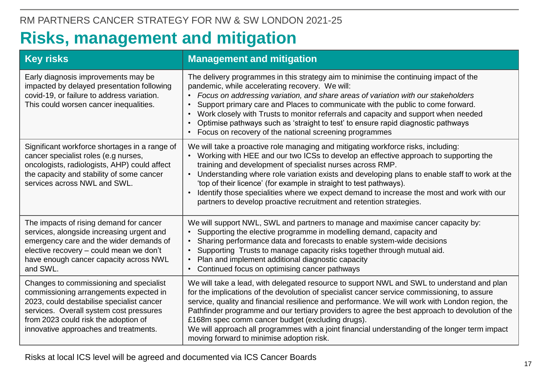# **Risks, management and mitigation**

| <b>Key risks</b>                                                                                                                                                                                                                                           | <b>Management and mitigation</b>                                                                                                                                                                                                                                                                                                                                                                                                                                                                                                                                                                    |
|------------------------------------------------------------------------------------------------------------------------------------------------------------------------------------------------------------------------------------------------------------|-----------------------------------------------------------------------------------------------------------------------------------------------------------------------------------------------------------------------------------------------------------------------------------------------------------------------------------------------------------------------------------------------------------------------------------------------------------------------------------------------------------------------------------------------------------------------------------------------------|
| Early diagnosis improvements may be<br>impacted by delayed presentation following<br>covid-19, or failure to address variation.<br>This could worsen cancer inequalities.                                                                                  | The delivery programmes in this strategy aim to minimise the continuing impact of the<br>pandemic, while accelerating recovery. We will:<br>Focus on addressing variation, and share areas of variation with our stakeholders<br>Support primary care and Places to communicate with the public to come forward.<br>Work closely with Trusts to monitor referrals and capacity and support when needed<br>Optimise pathways such as 'straight to test' to ensure rapid diagnostic pathways<br>Focus on recovery of the national screening programmes                                                |
| Significant workforce shortages in a range of<br>cancer specialist roles (e.g nurses,<br>oncologists, radiologists, AHP) could affect<br>the capacity and stability of some cancer<br>services across NWL and SWL.                                         | We will take a proactive role managing and mitigating workforce risks, including:<br>Working with HEE and our two ICSs to develop an effective approach to supporting the<br>training and development of specialist nurses across RMP.<br>Understanding where role variation exists and developing plans to enable staff to work at the<br>$\bullet$<br>'top of their licence' (for example in straight to test pathways).<br>Identify those specialities where we expect demand to increase the most and work with our<br>partners to develop proactive recruitment and retention strategies.      |
| The impacts of rising demand for cancer<br>services, alongside increasing urgent and<br>emergency care and the wider demands of<br>elective recovery - could mean we don't<br>have enough cancer capacity across NWL<br>and SWL.                           | We will support NWL, SWL and partners to manage and maximise cancer capacity by:<br>Supporting the elective programme in modelling demand, capacity and<br>Sharing performance data and forecasts to enable system-wide decisions<br>Supporting Trusts to manage capacity risks together through mutual aid.<br>Plan and implement additional diagnostic capacity<br>Continued focus on optimising cancer pathways                                                                                                                                                                                  |
| Changes to commissioning and specialist<br>commissioning arrangements expected in<br>2023, could destabilise specialist cancer<br>services. Overall system cost pressures<br>from 2023 could risk the adoption of<br>innovative approaches and treatments. | We will take a lead, with delegated resource to support NWL and SWL to understand and plan<br>for the implications of the devolution of specialist cancer service commissioning, to assure<br>service, quality and financial resilience and performance. We will work with London region, the<br>Pathfinder programme and our tertiary providers to agree the best approach to devolution of the<br>£168m spec comm cancer budget (excluding drugs).<br>We will approach all programmes with a joint financial understanding of the longer term impact<br>moving forward to minimise adoption risk. |